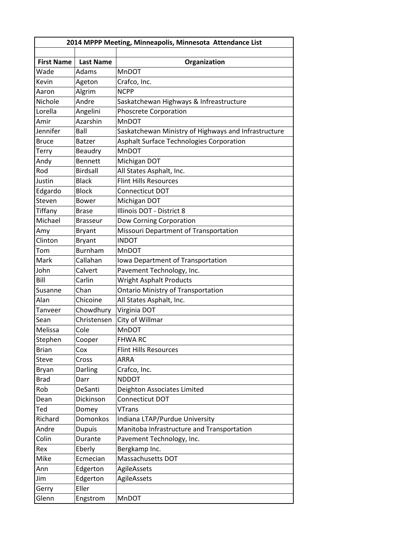| 2014 MPPP Meeting, Minneapolis, Minnesota Attendance List |                  |                                                      |  |  |
|-----------------------------------------------------------|------------------|------------------------------------------------------|--|--|
|                                                           |                  |                                                      |  |  |
| <b>First Name</b>                                         | <b>Last Name</b> | Organization                                         |  |  |
| Wade                                                      | Adams            | <b>MnDOT</b>                                         |  |  |
| Kevin                                                     | Ageton           | Crafco, Inc.                                         |  |  |
| Aaron                                                     | Algrim           | <b>NCPP</b>                                          |  |  |
| Nichole                                                   | Andre            | Saskatchewan Highways & Infreastructure              |  |  |
| Lorella                                                   | Angelini         | <b>Phoscrete Corporation</b>                         |  |  |
| Amir                                                      | Azarshin         | MnDOT                                                |  |  |
| Jennifer                                                  | Ball             | Saskatchewan Ministry of Highways and Infrastructure |  |  |
| <b>Bruce</b>                                              | <b>Batzer</b>    | <b>Asphalt Surface Technologies Corporation</b>      |  |  |
| Terry                                                     | Beaudry          | MnDOT                                                |  |  |
| Andy                                                      | <b>Bennett</b>   | Michigan DOT                                         |  |  |
| Rod                                                       | <b>Birdsall</b>  | All States Asphalt, Inc.                             |  |  |
| Justin                                                    | <b>Black</b>     | <b>Flint Hills Resources</b>                         |  |  |
| Edgardo                                                   | <b>Block</b>     | <b>Connecticut DOT</b>                               |  |  |
| Steven                                                    | <b>Bower</b>     | Michigan DOT                                         |  |  |
| Tiffany                                                   | <b>Brase</b>     | Illinois DOT - District 8                            |  |  |
| Michael                                                   | <b>Brasseur</b>  | Dow Corning Corporation                              |  |  |
| Amy                                                       | <b>Bryant</b>    | Missouri Department of Transportation                |  |  |
| Clinton                                                   | <b>Bryant</b>    | <b>INDOT</b>                                         |  |  |
| Tom                                                       | <b>Burnham</b>   | <b>MnDOT</b>                                         |  |  |
| Mark                                                      | Callahan         | Iowa Department of Transportation                    |  |  |
| John                                                      | Calvert          | Pavement Technology, Inc.                            |  |  |
| Bill                                                      | Carlin           | <b>Wright Asphalt Products</b>                       |  |  |
| Susanne                                                   | Chan             | <b>Ontario Ministry of Transportation</b>            |  |  |
| Alan                                                      | Chicoine         | All States Asphalt, Inc.                             |  |  |
| Tanveer                                                   | Chowdhury        | Virginia DOT                                         |  |  |
| Sean                                                      | Christensen      | City of Willmar                                      |  |  |
| Melissa                                                   | Cole             | <b>MnDOT</b>                                         |  |  |
| Stephen                                                   | Cooper           | <b>FHWA RC</b>                                       |  |  |
| <b>Brian</b>                                              | Cox              | <b>Flint Hills Resources</b>                         |  |  |
| Steve                                                     | Cross            | ARRA                                                 |  |  |
| <b>Bryan</b>                                              | Darling          | Crafco, Inc.                                         |  |  |
| <b>Brad</b>                                               | Darr             | <b>NDDOT</b>                                         |  |  |
| Rob                                                       | DeSanti          | Deighton Associates Limited                          |  |  |
| Dean                                                      | Dickinson        | Connecticut DOT                                      |  |  |
| Ted                                                       | Domey            | <b>VTrans</b>                                        |  |  |
| Richard                                                   | Domonkos         | Indiana LTAP/Purdue University                       |  |  |
| Andre                                                     | <b>Dupuis</b>    | Manitoba Infrastructure and Transportation           |  |  |
| Colin                                                     | Durante          | Pavement Technology, Inc.                            |  |  |
| Rex                                                       | Eberly           | Bergkamp Inc.                                        |  |  |
| Mike                                                      | Ecmecian         | Massachusetts DOT                                    |  |  |
| Ann                                                       | Edgerton         | AgileAssets                                          |  |  |
| Jim                                                       | Edgerton         | AgileAssets                                          |  |  |
| Gerry                                                     | Eller            |                                                      |  |  |
| Glenn                                                     | Engstrom         | MnDOT                                                |  |  |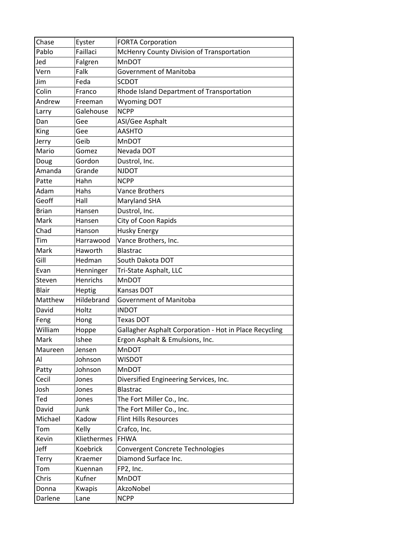| Chase        | Eyster      | <b>FORTA Corporation</b>                               |
|--------------|-------------|--------------------------------------------------------|
| Pablo        | Faillaci    | McHenry County Division of Transportation              |
| Jed          | Falgren     | MnDOT                                                  |
| Vern         | Falk        | Government of Manitoba                                 |
| Jim          | Feda        | <b>SCDOT</b>                                           |
| Colin        | Franco      | Rhode Island Department of Transportation              |
| Andrew       | Freeman     | <b>Wyoming DOT</b>                                     |
| Larry        | Galehouse   | <b>NCPP</b>                                            |
| Dan          | Gee         | ASI/Gee Asphalt                                        |
| King         | Gee         | <b>AASHTO</b>                                          |
| Jerry        | Geib        | <b>MnDOT</b>                                           |
| Mario        | Gomez       | Nevada DOT                                             |
| Doug         | Gordon      | Dustrol, Inc.                                          |
| Amanda       | Grande      | <b>NJDOT</b>                                           |
| Patte        | Hahn        | <b>NCPP</b>                                            |
| Adam         | Hahs        | <b>Vance Brothers</b>                                  |
| Geoff        | Hall        | Maryland SHA                                           |
| <b>Brian</b> | Hansen      | Dustrol, Inc.                                          |
| Mark         | Hansen      | City of Coon Rapids                                    |
| Chad         | Hanson      | <b>Husky Energy</b>                                    |
| Tim          | Harrawood   | Vance Brothers, Inc.                                   |
| Mark         | Haworth     | <b>Blastrac</b>                                        |
| Gill         | Hedman      | South Dakota DOT                                       |
| Evan         | Henninger   | Tri-State Asphalt, LLC                                 |
| Steven       | Henrichs    | MnDOT                                                  |
| <b>Blair</b> | Heptig      | Kansas DOT                                             |
| Matthew      | Hildebrand  | Government of Manitoba                                 |
| David        | Holtz       | <b>INDOT</b>                                           |
| Feng         | Hong        | <b>Texas DOT</b>                                       |
| William      | Hoppe       | Gallagher Asphalt Corporation - Hot in Place Recycling |
| Mark         | Ishee       | Ergon Asphalt & Emulsions, Inc.                        |
| Maureen      | Jensen      | MnDOT                                                  |
| Al           | Johnson     | <b>WISDOT</b>                                          |
| Patty        | Johnson     | MnDOT                                                  |
| Cecil        | Jones       | Diversified Engineering Services, Inc.                 |
| Josh         | Jones       | Blastrac                                               |
| Ted          | Jones       | The Fort Miller Co., Inc.                              |
| David        | Junk        | The Fort Miller Co., Inc.                              |
| Michael      | Kadow       | <b>Flint Hills Resources</b>                           |
| Tom          | Kelly       | Crafco, Inc.                                           |
| Kevin        | Kliethermes | <b>FHWA</b>                                            |
| Jeff         | Koebrick    | Convergent Concrete Technologies                       |
| Terry        | Kraemer     | Diamond Surface Inc.                                   |
| Tom          | Kuennan     | FP2, Inc.                                              |
| Chris        | Kufner      | MnDOT                                                  |
| Donna        | Kwapis      | AkzoNobel                                              |
| Darlene      | Lane        | <b>NCPP</b>                                            |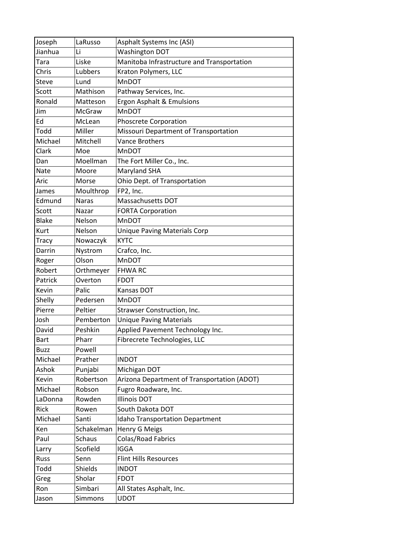| Joseph       | LaRusso       | Asphalt Systems Inc (ASI)                   |
|--------------|---------------|---------------------------------------------|
| Jianhua      | Li            | <b>Washington DOT</b>                       |
| Tara         | Liske         | Manitoba Infrastructure and Transportation  |
| Chris        | Lubbers       | Kraton Polymers, LLC                        |
| <b>Steve</b> | Lund          | <b>MnDOT</b>                                |
| Scott        | Mathison      | Pathway Services, Inc.                      |
| Ronald       | Matteson      | Ergon Asphalt & Emulsions                   |
| Jim          | <b>McGraw</b> | MnDOT                                       |
| Ed           | McLean        | Phoscrete Corporation                       |
| Todd         | Miller        | Missouri Department of Transportation       |
| Michael      | Mitchell      | <b>Vance Brothers</b>                       |
| Clark        | Moe           | MnDOT                                       |
| Dan          | Moellman      | The Fort Miller Co., Inc.                   |
| Nate         | Moore         | Maryland SHA                                |
| Aric         | Morse         | Ohio Dept. of Transportation                |
| James        | Moulthrop     | FP2, Inc.                                   |
| Edmund       | <b>Naras</b>  | Massachusetts DOT                           |
| Scott        | Nazar         | <b>FORTA Corporation</b>                    |
| <b>Blake</b> | Nelson        | MnDOT                                       |
| Kurt         | Nelson        | <b>Unique Paving Materials Corp</b>         |
| <b>Tracy</b> | Nowaczyk      | <b>KYTC</b>                                 |
| Darrin       | Nystrom       | Crafco, Inc.                                |
| Roger        | Olson         | MnDOT                                       |
| Robert       | Orthmeyer     | <b>FHWA RC</b>                              |
| Patrick      | Overton       | <b>FDOT</b>                                 |
| Kevin        | Palic         | Kansas DOT                                  |
| Shelly       | Pedersen      | <b>MnDOT</b>                                |
| Pierre       | Peltier       | Strawser Construction, Inc.                 |
| Josh         | Pemberton     | <b>Unique Paving Materials</b>              |
| David        | Peshkin       | Applied Pavement Technology Inc.            |
| Bart         | Pharr         | Fibrecrete Technologies, LLC                |
| <b>Buzz</b>  | Powell        |                                             |
| Michael      | Prather       | <b>INDOT</b>                                |
| Ashok        | Punjabi       | Michigan DOT                                |
| Kevin        | Robertson     | Arizona Department of Transportation (ADOT) |
| Michael      | Robson        | Fugro Roadware, Inc.                        |
| LaDonna      | Rowden        | <b>Illinois DOT</b>                         |
| <b>Rick</b>  | Rowen         | South Dakota DOT                            |
| Michael      | Santi         | <b>Idaho Transportation Department</b>      |
| Ken          | Schakelman    | Henry G Meigs                               |
| Paul         | <b>Schaus</b> | Colas/Road Fabrics                          |
| Larry        | Scofield      | <b>IGGA</b>                                 |
| Russ         | Senn          | <b>Flint Hills Resources</b>                |
| Todd         | Shields       | <b>INDOT</b>                                |
| Greg         | Sholar        | <b>FDOT</b>                                 |
| Ron          | Simbari       | All States Asphalt, Inc.                    |
| Jason        | Simmons       | <b>UDOT</b>                                 |